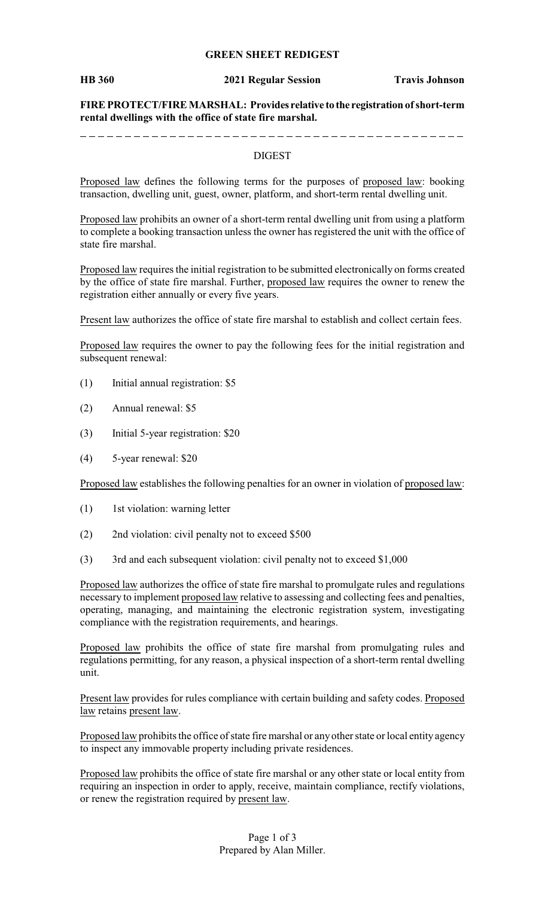### **GREEN SHEET REDIGEST**

**HB 360 2021 Regular Session Travis Johnson**

**FIRE PROTECT/FIRE MARSHAL: Provides relative to the registration ofshort-term rental dwellings with the office of state fire marshal.**

\_ \_ \_ \_ \_ \_ \_ \_ \_ \_ \_ \_ \_ \_ \_ \_

#### DIGEST

Proposed law defines the following terms for the purposes of proposed law: booking transaction, dwelling unit, guest, owner, platform, and short-term rental dwelling unit.

Proposed law prohibits an owner of a short-term rental dwelling unit from using a platform to complete a booking transaction unless the owner has registered the unit with the office of state fire marshal.

Proposed law requires the initial registration to be submitted electronically on forms created by the office of state fire marshal. Further, proposed law requires the owner to renew the registration either annually or every five years.

Present law authorizes the office of state fire marshal to establish and collect certain fees.

Proposed law requires the owner to pay the following fees for the initial registration and subsequent renewal:

- (1) Initial annual registration: \$5
- (2) Annual renewal: \$5
- (3) Initial 5-year registration: \$20
- (4) 5-year renewal: \$20

Proposed law establishes the following penalties for an owner in violation of proposed law:

- (1) 1st violation: warning letter
- (2) 2nd violation: civil penalty not to exceed \$500
- (3) 3rd and each subsequent violation: civil penalty not to exceed \$1,000

Proposed law authorizes the office of state fire marshal to promulgate rules and regulations necessary to implement proposed law relative to assessing and collecting fees and penalties, operating, managing, and maintaining the electronic registration system, investigating compliance with the registration requirements, and hearings.

Proposed law prohibits the office of state fire marshal from promulgating rules and regulations permitting, for any reason, a physical inspection of a short-term rental dwelling unit.

Present law provides for rules compliance with certain building and safety codes. Proposed law retains present law.

Proposed law prohibits the office of state fire marshal or any other state or local entity agency to inspect any immovable property including private residences.

Proposed law prohibits the office of state fire marshal or any other state or local entity from requiring an inspection in order to apply, receive, maintain compliance, rectify violations, or renew the registration required by present law.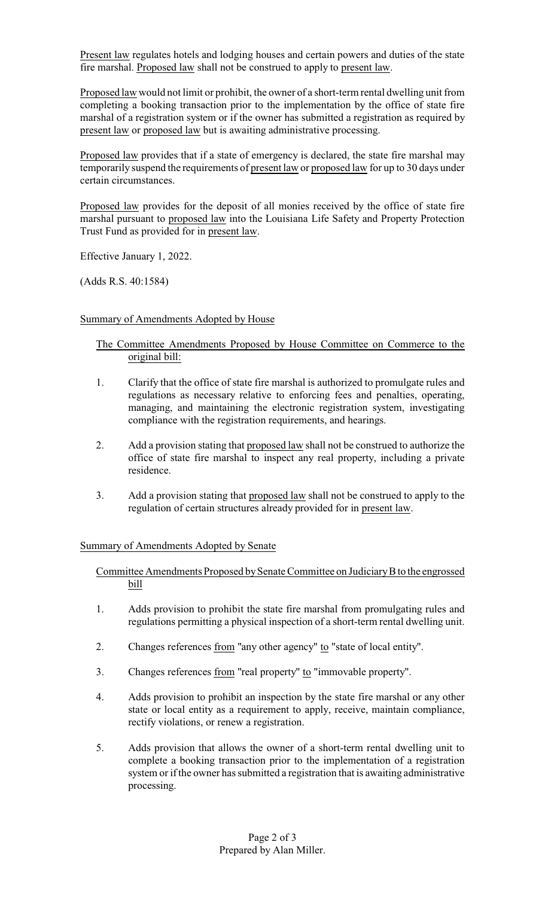Present law regulates hotels and lodging houses and certain powers and duties of the state fire marshal. Proposed law shall not be construed to apply to present law.

Proposed law would not limit or prohibit, the owner of a short-term rental dwelling unit from completing a booking transaction prior to the implementation by the office of state fire marshal of a registration system or if the owner has submitted a registration as required by present law or proposed law but is awaiting administrative processing.

Proposed law provides that if a state of emergency is declared, the state fire marshal may temporarily suspend the requirements of present law or proposed law for up to 30 days under certain circumstances.

Proposed law provides for the deposit of all monies received by the office of state fire marshal pursuant to proposed law into the Louisiana Life Safety and Property Protection Trust Fund as provided for in present law.

Effective January 1, 2022.

(Adds R.S. 40:1584)

# Summary of Amendments Adopted by House

# The Committee Amendments Proposed by House Committee on Commerce to the original bill:

- 1. Clarify that the office of state fire marshal is authorized to promulgate rules and regulations as necessary relative to enforcing fees and penalties, operating, managing, and maintaining the electronic registration system, investigating compliance with the registration requirements, and hearings.
- 2. Add a provision stating that proposed law shall not be construed to authorize the office of state fire marshal to inspect any real property, including a private residence.
- 3. Add a provision stating that proposed law shall not be construed to apply to the regulation of certain structures already provided for in present law.

## Summary of Amendments Adopted by Senate

Committee Amendments Proposed bySenate Committee on JudiciaryBto the engrossed bill

- 1. Adds provision to prohibit the state fire marshal from promulgating rules and regulations permitting a physical inspection of a short-term rental dwelling unit.
- 2. Changes references from "any other agency" to "state of local entity".
- 3. Changes references from "real property" to "immovable property".
- 4. Adds provision to prohibit an inspection by the state fire marshal or any other state or local entity as a requirement to apply, receive, maintain compliance, rectify violations, or renew a registration.
- 5. Adds provision that allows the owner of a short-term rental dwelling unit to complete a booking transaction prior to the implementation of a registration system or if the owner has submitted a registration that is awaiting administrative processing.